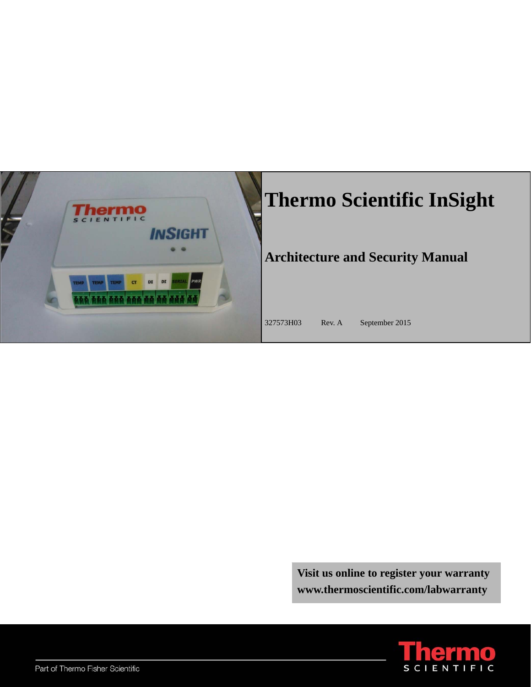

**Visit us online to register your warranty [www.thermoscientific.com/labwarranty](http://www.thermoscientific.com/labwarranty)**

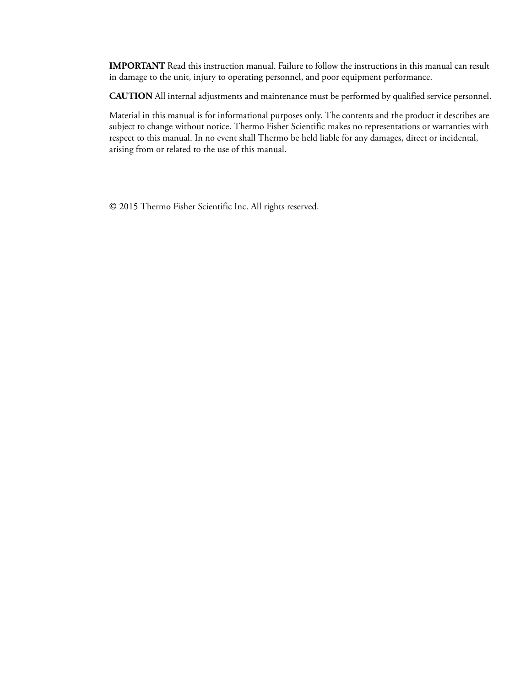**IMPORTANT** Read this instruction manual. Failure to follow the instructions in this manual can result in damage to the unit, injury to operating personnel, and poor equipment performance.

**CAUTION** All internal adjustments and maintenance must be performed by qualified service personnel.

Material in this manual is for informational purposes only. The contents and the product it describes are subject to change without notice. Thermo Fisher Scientific makes no representations or warranties with respect to this manual. In no event shall Thermo be held liable for any damages, direct or incidental, arising from or related to the use of this manual.

© 2015 Thermo Fisher Scientific Inc. All rights reserved.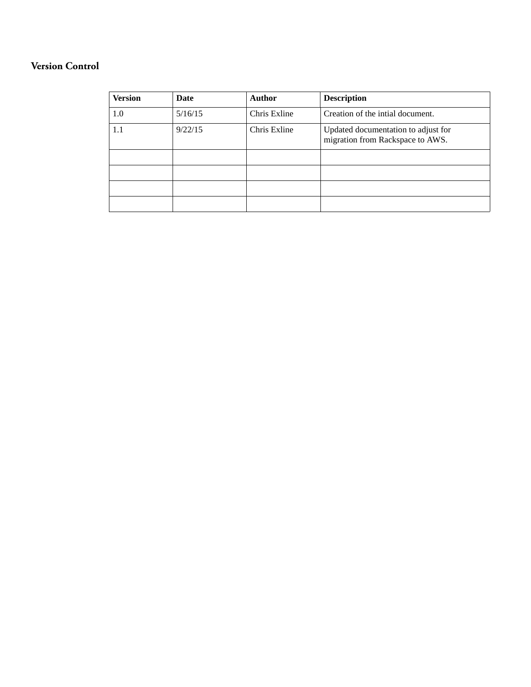### **Version Control**

| <b>Version</b> | Date    | <b>Author</b> | <b>Description</b>                                                      |
|----------------|---------|---------------|-------------------------------------------------------------------------|
| 1.0            | 5/16/15 | Chris Exline  | Creation of the intial document.                                        |
| 1.1            | 9/22/15 | Chris Exline  | Updated documentation to adjust for<br>migration from Rackspace to AWS. |
|                |         |               |                                                                         |
|                |         |               |                                                                         |
|                |         |               |                                                                         |
|                |         |               |                                                                         |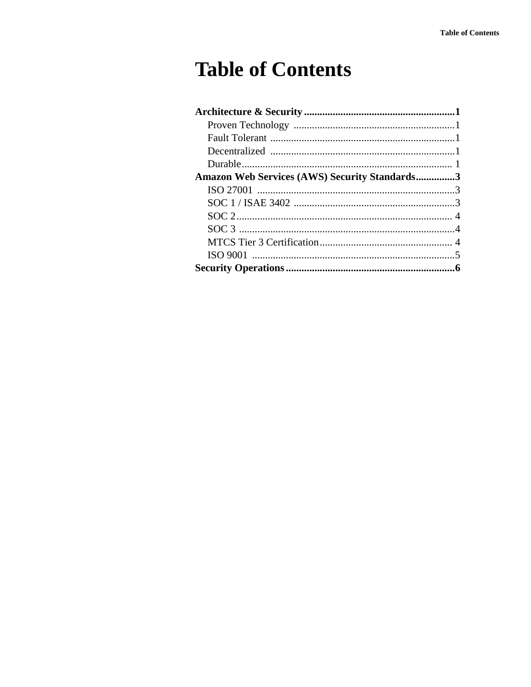# **Table of Contents**

| Amazon Web Services (AWS) Security Standards3 |  |
|-----------------------------------------------|--|
|                                               |  |
|                                               |  |
|                                               |  |
|                                               |  |
|                                               |  |
|                                               |  |
|                                               |  |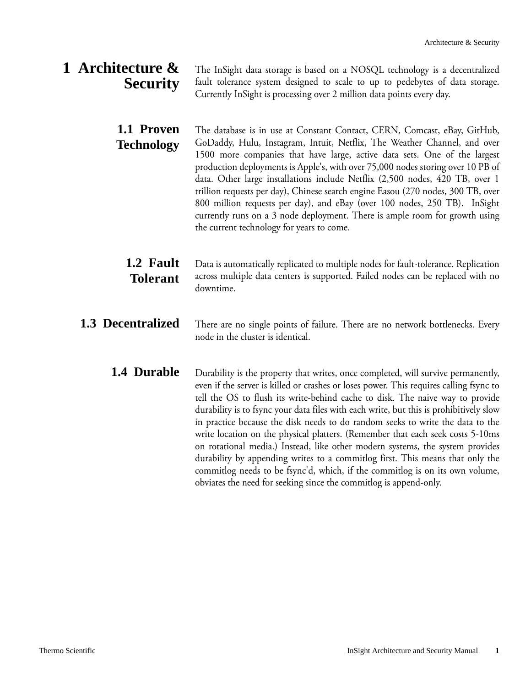<span id="page-4-4"></span><span id="page-4-3"></span><span id="page-4-2"></span><span id="page-4-1"></span><span id="page-4-0"></span>

| 1 Architecture $\&$<br><b>Security</b> | The InSight data storage is based on a NOSQL technology is a decentralized<br>fault tolerance system designed to scale to up to pedebytes of data storage.<br>Currently InSight is processing over 2 million data points every day.                                                                                                                                                                                                                                                                                                                                                                                                                                                                                                                                                                                                               |  |  |
|----------------------------------------|---------------------------------------------------------------------------------------------------------------------------------------------------------------------------------------------------------------------------------------------------------------------------------------------------------------------------------------------------------------------------------------------------------------------------------------------------------------------------------------------------------------------------------------------------------------------------------------------------------------------------------------------------------------------------------------------------------------------------------------------------------------------------------------------------------------------------------------------------|--|--|
| 1.1 Proven<br><b>Technology</b>        | The database is in use at Constant Contact, CERN, Comcast, eBay, GitHub,<br>GoDaddy, Hulu, Instagram, Intuit, Netflix, The Weather Channel, and over<br>1500 more companies that have large, active data sets. One of the largest<br>production deployments is Apple's, with over 75,000 nodes storing over 10 PB of<br>data. Other large installations include Netflix (2,500 nodes, 420 TB, over 1<br>trillion requests per day), Chinese search engine Easou (270 nodes, 300 TB, over<br>800 million requests per day), and eBay (over 100 nodes, 250 TB). InSight<br>currently runs on a 3 node deployment. There is ample room for growth using<br>the current technology for years to come.                                                                                                                                                 |  |  |
| 1.2 Fault<br><b>Tolerant</b>           | Data is automatically replicated to multiple nodes for fault-tolerance. Replication<br>across multiple data centers is supported. Failed nodes can be replaced with no<br>downtime.                                                                                                                                                                                                                                                                                                                                                                                                                                                                                                                                                                                                                                                               |  |  |
| 1.3 Decentralized                      | There are no single points of failure. There are no network bottlenecks. Every<br>node in the cluster is identical.                                                                                                                                                                                                                                                                                                                                                                                                                                                                                                                                                                                                                                                                                                                               |  |  |
| 1.4 Durable                            | Durability is the property that writes, once completed, will survive permanently,<br>even if the server is killed or crashes or loses power. This requires calling fsync to<br>tell the OS to flush its write-behind cache to disk. The naive way to provide<br>durability is to fsync your data files with each write, but this is prohibitively slow<br>in practice because the disk needs to do random seeks to write the data to the<br>write location on the physical platters. (Remember that each seek costs 5-10ms<br>on rotational media.) Instead, like other modern systems, the system provides<br>durability by appending writes to a commitlog first. This means that only the<br>commitlog needs to be fsync'd, which, if the commitlog is on its own volume,<br>obviates the need for seeking since the commitlog is append-only. |  |  |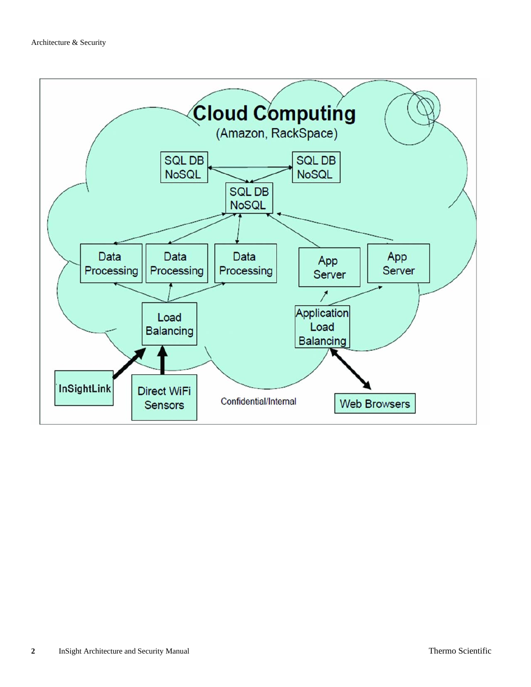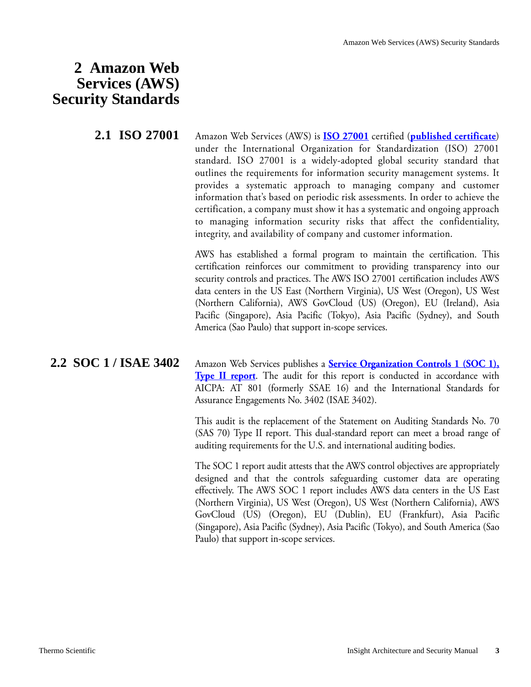### <span id="page-6-0"></span>**2 Amazon Web Services (AWS) Security Standards**

<span id="page-6-1"></span>**2.1 ISO 27001** Amazon Web Services (AWS) is **[ISO 27001](http://www.27000.org/iso-27001.htm)** certified (**[published certificate](https://d0.awsstatic.com/certifications/iso_27001_global_certification.pdf)**) under the International Organization for Standardization (ISO) 27001 standard. ISO 27001 is a widely-adopted global security standard that outlines the requirements for information security management systems. It provides a systematic approach to managing company and customer information that's based on periodic risk assessments. In order to achieve the certification, a company must show it has a systematic and ongoing approach to managing information security risks that affect the confidentiality, integrity, and availability of company and customer information.

> AWS has established a formal program to maintain the certification. This certification reinforces our commitment to providing transparency into our security controls and practices. The AWS ISO 27001 certification includes AWS data centers in the US East (Northern Virginia), US West (Oregon), US West (Northern California), AWS GovCloud (US) (Oregon), EU (Ireland), Asia Pacific (Singapore), Asia Pacific (Tokyo), Asia Pacific (Sydney), and South America (Sao Paulo) that support in-scope services.

#### <span id="page-6-2"></span>**2.2 SOC 1 / ISAE 3402** Amazon Web Services publishes a **[Service Organization Controls 1 \(SOC 1\),](http://www.aicpa.org/InterestAreas/FRC/AssuranceAdvisoryServices/Pages/AICPASOC1Report.aspx)  [Type II report](http://www.aicpa.org/InterestAreas/FRC/AssuranceAdvisoryServices/Pages/AICPASOC1Report.aspx)**. The audit for this report is conducted in accordance with AICPA: AT 801 (formerly SSAE 16) and the International Standards for Assurance Engagements No. 3402 (ISAE 3402).

This audit is the replacement of the Statement on Auditing Standards No. 70 (SAS 70) Type II report. This dual-standard report can meet a broad range of auditing requirements for the U.S. and international auditing bodies.

The SOC 1 report audit attests that the AWS control objectives are appropriately designed and that the controls safeguarding customer data are operating effectively. The AWS SOC 1 report includes AWS data centers in the US East (Northern Virginia), US West (Oregon), US West (Northern California), AWS GovCloud (US) (Oregon), EU (Dublin), EU (Frankfurt), Asia Pacific (Singapore), Asia Pacific (Sydney), Asia Pacific (Tokyo), and South America (Sao Paulo) that support in-scope services.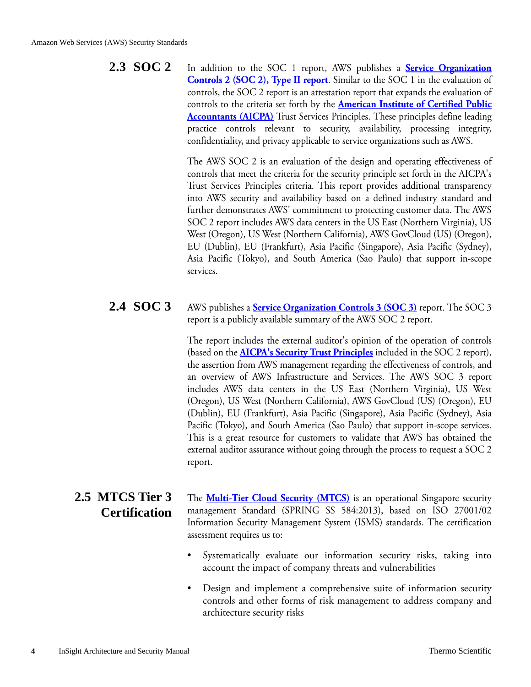<span id="page-7-0"></span>**2.3 SOC 2** In addition to the SOC 1 report, AWS publishes a **[Service Organization](http://www.aicpa.org/InterestAreas/FRC/AssuranceAdvisoryServices/Pages/AICPASOC2Report.aspx) [Controls 2 \(SOC 2\), Type II report](http://www.aicpa.org/InterestAreas/FRC/AssuranceAdvisoryServices/Pages/AICPASOC2Report.aspx)**. Similar to the SOC 1 in the evaluation of controls, the SOC 2 report is an attestation report that expands the evaluation of controls to the criteria set forth by the **[American Institute of Certified Public](https://cert.webtrust.org/pdfs/Trust_Services_PC_latest.pdf) [Accountants \(AICPA\)](https://cert.webtrust.org/pdfs/Trust_Services_PC_latest.pdf)** Trust Services Principles. These principles define leading practice controls relevant to security, availability, processing integrity, confidentiality, and privacy applicable to service organizations such as AWS.

> The AWS SOC 2 is an evaluation of the design and operating effectiveness of controls that meet the criteria for the security principle set forth in the AICPA's Trust Services Principles criteria. This report provides additional transparency into AWS security and availability based on a defined industry standard and further demonstrates AWS' commitment to protecting customer data. The AWS SOC 2 report includes AWS data centers in the US East (Northern Virginia), US West (Oregon), US West (Northern California), AWS GovCloud (US) (Oregon), EU (Dublin), EU (Frankfurt), Asia Pacific (Singapore), Asia Pacific (Sydney), Asia Pacific (Tokyo), and South America (Sao Paulo) that support in-scope services.

<span id="page-7-1"></span>**2.4 SOC 3** AWS publishes a **[Service Organization Controls 3 \(SOC 3\)](https://d0.awsstatic.com/whitepapers/compliance/soc3_amazon_web_services.pdf)** report. The SOC 3 report is a publicly available summary of the AWS SOC 2 report.

> The report includes the external auditor's opinion of the operation of controls (based on the **[AICPA's Security Trust Principles](http://www.cpa2biz.com/AST/Main/CPA2BIZ_Primary/AuditAttest/Standards/PRDOVR~PC-TSPC13/PC-TSPC13.jsp#.U20lvGzQeHs)** included in the SOC 2 report), the assertion from AWS management regarding the effectiveness of controls, and an overview of AWS Infrastructure and Services. The AWS SOC 3 report includes AWS data centers in the US East (Northern Virginia), US West (Oregon), US West (Northern California), AWS GovCloud (US) (Oregon), EU (Dublin), EU (Frankfurt), Asia Pacific (Singapore), Asia Pacific (Sydney), Asia Pacific (Tokyo), and South America (Sao Paulo) that support in-scope services. This is a great resource for customers to validate that AWS has obtained the external auditor assurance without going through the process to request a SOC 2 report.

- <span id="page-7-2"></span>**2.5 MTCS Tier 3 Certification** The **[Multi-Tier Cloud Security \(MTCS\)](https://aws.amazon.com/compliance/aws-multitiered-cloud-security-standard-certification/)** is an operational Singapore security management Standard (SPRING SS 584:2013), based on ISO 27001/02 Information Security Management System (ISMS) standards. The certification assessment requires us to:
	- Systematically evaluate our information security risks, taking into account the impact of company threats and vulnerabilities
	- Design and implement a comprehensive suite of information security controls and other forms of risk management to address company and architecture security risks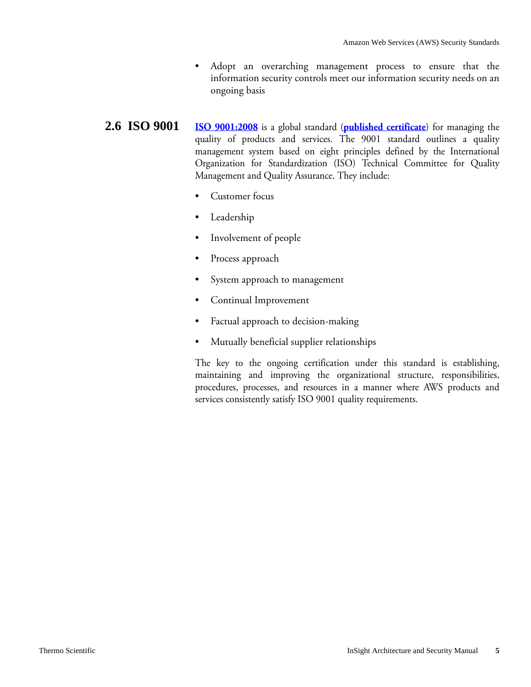- Adopt an overarching management process to ensure that the information security controls meet our information security needs on an ongoing basis
- <span id="page-8-0"></span>**2.6 [ISO 9001](http://www.iso.org/iso/iso_9000) [ISO 9001:2008](http://www.iso.org/iso/iso_9000)** is a global standard (**[published certificate](https://d0.awsstatic.com/certifications/iso_9001_certification.pdf)**) for managing the quality of products and services. The 9001 standard outlines a quality management system based on eight principles defined by the International Organization for Standardization (ISO) Technical Committee for Quality Management and Quality Assurance. They include:
	- Customer focus
	- Leadership
	- Involvement of people
	- Process approach
	- System approach to management
	- Continual Improvement
	- Factual approach to decision-making
	- Mutually beneficial supplier relationships

The key to the ongoing certification under this standard is establishing, maintaining and improving the organizational structure, responsibilities, procedures, processes, and resources in a manner where AWS products and services consistently satisfy ISO 9001 quality requirements.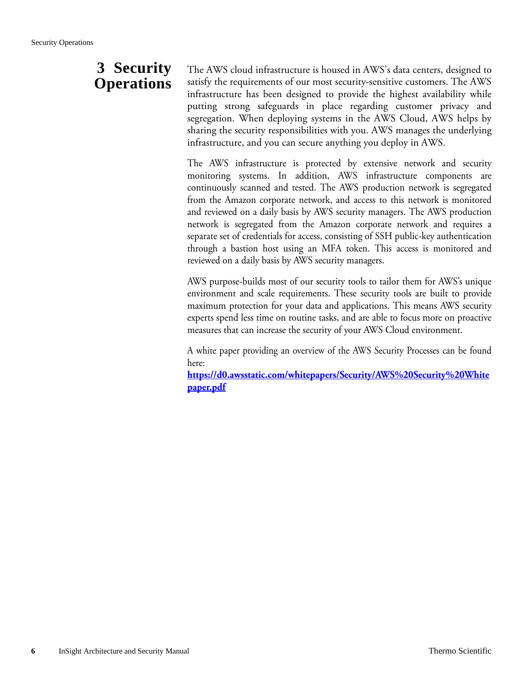### <span id="page-9-0"></span>**3 Security Operations**

The AWS cloud infrastructure is housed in AWS's data centers, designed to satisfy the requirements of our most security-sensitive customers. The AWS infrastructure has been designed to provide the highest availability while putting strong safeguards in place regarding customer privacy and segregation. When deploying systems in the AWS Cloud, AWS helps by sharing the security responsibilities with you. AWS manages the underlying infrastructure, and you can secure anything you deploy in AWS.

The AWS infrastructure is protected by extensive network and security monitoring systems. In addition, AWS infrastructure components are continuously scanned and tested. The AWS production network is segregated from the Amazon corporate network, and access to this network is monitored and reviewed on a daily basis by AWS security managers. The AWS production network is segregated from the Amazon corporate network and requires a separate set of credentials for access, consisting of SSH public-key authentication through a bastion host using an MFA token. This access is monitored and reviewed on a daily basis by AWS security managers.

AWS purpose-builds most of our security tools to tailor them for AWS's unique environment and scale requirements. These security tools are built to provide maximum protection for your data and applications. This means AWS security experts spend less time on routine tasks, and are able to focus more on proactive measures that can increase the security of your AWS Cloud environment.

A white paper providing an overview of the AWS Security Processes can be found here:

**[https://d0.awsstatic.com/whitepapers/Security/AWS%20Security%20White](https://d0.awsstatic.com/whitepapers/Security/AWS%20Security%20Whitepaper.pdf) [paper.pdf](https://d0.awsstatic.com/whitepapers/Security/AWS%20Security%20Whitepaper.pdf)**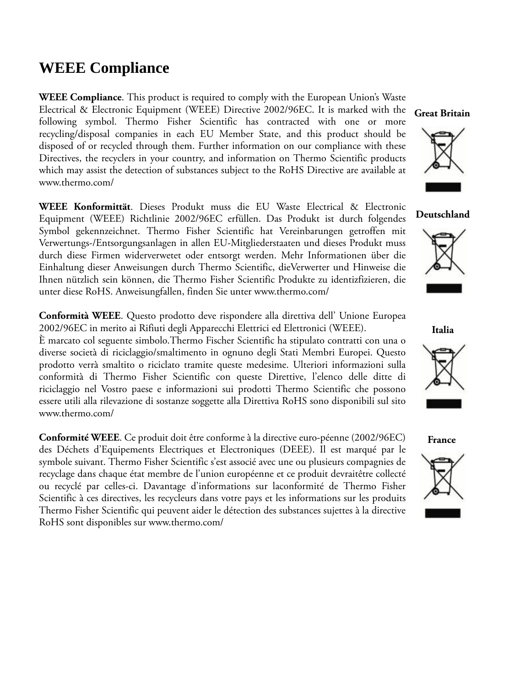### **WEEE Compliance**

**WEEE Compliance**. This product is required to comply with the European Union's Waste Electrical & Electronic Equipment (WEEE) Directive 2002/96EC. It is marked with the following symbol. Thermo Fisher Scientific has contracted with one or more recycling/disposal companies in each EU Member State, and this product should be disposed of or recycled through them. Further information on our compliance with these Directives, the recyclers in your country, and information on Thermo Scientific products which may assist the detection of substances subject to the RoHS Directive are available at www.thermo.com/

**WEEE Konformittät**. Dieses Produkt muss die EU Waste Electrical & Electronic Equipment (WEEE) Richtlinie 2002/96EC erfüllen. Das Produkt ist durch folgendes Symbol gekennzeichnet. Thermo Fisher Scientific hat Vereinbarungen getroffen mit Verwertungs-/Entsorgungsanlagen in allen EU-Mitgliederstaaten und dieses Produkt muss durch diese Firmen widerverwetet oder entsorgt werden. Mehr Informationen über die Einhaltung dieser Anweisungen durch Thermo Scientific, dieVerwerter und Hinweise die Ihnen nützlich sein können, die Thermo Fisher Scientific Produkte zu identizfizieren, die unter diese RoHS. Anweisungfallen, finden Sie unter www.thermo.com/

**Conformità WEEE**. Questo prodotto deve rispondere alla direttiva dell' Unione Europea 2002/96EC in merito ai Rifiuti degli Apparecchi Elettrici ed Elettronici (WEEE).

È marcato col seguente simbolo.Thermo Fischer Scientific ha stipulato contratti con una o diverse società di riciclaggio/smaltimento in ognuno degli Stati Membri Europei. Questo prodotto verrà smaltito o riciclato tramite queste medesime. Ulteriori informazioni sulla conformità di Thermo Fisher Scientific con queste Direttive, l'elenco delle ditte di riciclaggio nel Vostro paese e informazioni sui prodotti Thermo Scientific che possono essere utili alla rilevazione di sostanze soggette alla Direttiva RoHS sono disponibili sul sito www.thermo.com/

**Conformité WEEE**. Ce produit doit être conforme à la directive euro-péenne (2002/96EC) des Déchets d'Equipements Electriques et Electroniques (DEEE). Il est marqué par le symbole suivant. Thermo Fisher Scientific s'est associé avec une ou plusieurs compagnies de recyclage dans chaque état membre de l'union européenne et ce produit devraitêtre collecté ou recyclé par celles-ci. Davantage d'informations sur laconformité de Thermo Fisher Scientific à ces directives, les recycleurs dans votre pays et les informations sur les produits Thermo Fisher Scientific qui peuvent aider le détection des substances sujettes à la directive RoHS sont disponibles sur www.thermo.com/

#### **Great Britain**



## **Deutschland**



**Italia**



**France**

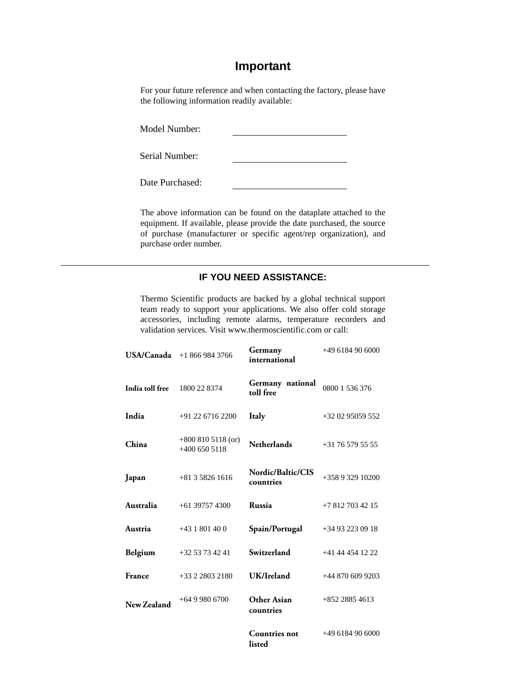### **Important**

For your future reference and when contacting the factory, please have the following information readily available:

Model Number:

Serial Number:

Date Purchased:

The above information can be found on the dataplate attached to the equipment. If available, please provide the date purchased, the source of purchase (manufacturer or specific agent/rep organization), and purchase order number.

#### **IF YOU NEED ASSISTANCE:**

[Thermo Scientific products are backed by a global technical support](http://www.thermoscientific.com)  team ready to support your applications. We also offer cold storage [accessories, including remote alarms, temperature recorders and](http://www.thermoscientific.com)  [validation services. Visit www.thermoscientific.com or call:](http://www.thermoscientific.com)

| USA/Canada      | $+18669843766$                        | Germany<br>international       | $+496184906000$    |
|-----------------|---------------------------------------|--------------------------------|--------------------|
| India toll free | 1800 22 8374                          | Germany national<br>toll free  | 0800 1 536 376     |
| India           | $+91$ 22 6716 2200                    | Italy                          | $+320295059552$    |
| China           | $+8008105118$ (or)<br>$+400$ 650 5118 | <b>Netherlands</b>             | $+31$ 76 579 55 55 |
| Japan           | $+81358261616$                        | Nordic/Baltic/CIS<br>countries | +358 9 329 10200   |
| Australia       | $+61$ 39757 4300                      | Russia                         | $+78127034215$     |
| Austria         | $+431801400$                          | Spain/Portugal                 | $+34932230918$     |
| Belgium         | $+3253734241$                         | Switzerland                    | $+41$ 44 454 12 22 |
| France          | $+33228032180$                        | UK/Ireland                     | $+448706099203$    |
| New Zealand     | $+6499806700$                         | Other Asian<br>countries       | $+852$ 2885 4613   |
|                 |                                       | <b>Countries not</b>           | $+496184906000$    |

**listed**